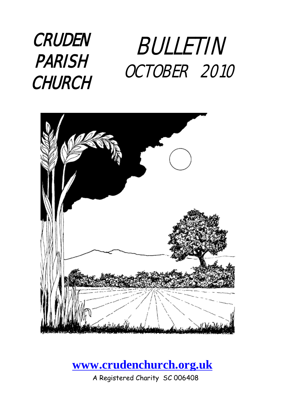### **CRUDEN** PARISH **CHURCH** BULLETIN OCTOBER 2010



### **[www.crudenchurch.org.uk](http://www.crudenchurch.org.uk/)**

A Registered Charity SC 006408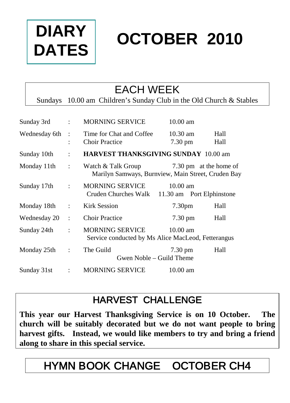

# **OCTOBER 2010**

### EACH WEEK

Sundays 10.00 am Children's Sunday Club in the Old Church & Stables

| Sunday 3rd    | $\ddot{\cdot}$                    | <b>MORNING SERVICE</b>                                                                             | $10.00 \text{ am}$                            |              |  |  |  |  |  |
|---------------|-----------------------------------|----------------------------------------------------------------------------------------------------|-----------------------------------------------|--------------|--|--|--|--|--|
| Wednesday 6th | $\cdot$ :<br>$\ddot{\phantom{a}}$ | Time for Chat and Coffee<br><b>Choir Practice</b>                                                  | $10.30$ am<br>7.30 pm                         | Hall<br>Hall |  |  |  |  |  |
| Sunday 10th   | $\ddot{\cdot}$                    | <b>HARVEST THANKSGIVING SUNDAY 10.00 am</b>                                                        |                                               |              |  |  |  |  |  |
| Monday 11th   | $\ddot{\cdot}$                    | Watch & Talk Group<br>7.30 pm at the home of<br>Marilyn Samways, Burnview, Main Street, Cruden Bay |                                               |              |  |  |  |  |  |
| Sunday 17th   | $\mathcal{L}$                     | MORNING SERVICE<br>Cruden Churches Walk                                                            | $10.00$ am<br>11.30 am Port Elphinstone       |              |  |  |  |  |  |
| Monday 18th   | $\ddot{\phantom{a}}$              | Kirk Session                                                                                       | 7.30 <sub>pm</sub>                            | Hall         |  |  |  |  |  |
| Wednesday 20  | $\ddot{\phantom{a}}$              | <b>Choir Practice</b>                                                                              | $7.30 \text{ pm}$                             | Hall         |  |  |  |  |  |
| Sunday 24th   | $\ddot{\phantom{a}}$              | <b>MORNING SERVICE</b><br>Service conducted by Ms Alice MacLeod, Fetterangus                       | $10.00$ am                                    |              |  |  |  |  |  |
| Monday 25th   | $\ddot{\cdot}$                    | The Guild                                                                                          | $7.30 \text{ pm}$<br>Gwen Noble – Guild Theme | Hall         |  |  |  |  |  |
| Sunday 31st   | $\ddot{\cdot}$                    | <b>MORNING SERVICE</b>                                                                             | $10.00$ am                                    |              |  |  |  |  |  |

### HARVEST CHALLENGE

**This year our Harvest Thanksgiving Service is on 10 October. The church will be suitably decorated but we do not want people to bring harvest gifts. Instead, we would like members to try and bring a friend along to share in this special service.**

## HYMN BOOK CHANGE OCTOBER CH4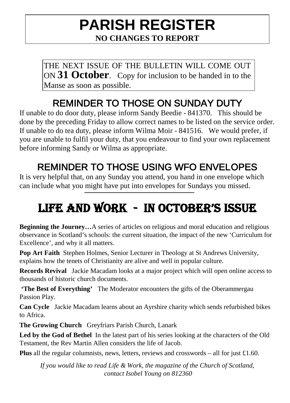### **PARISH REGISTER NO CHANGES TO REPORT**

THE NEXT ISSUE OF THE BULLETIN WILL COME OUT ON **31 October**. Copy for inclusion to be handed in to the Manse as soon as possible.

### REMINDER TO THOSE ON SUNDAY DUTY

If unable to do door duty, please inform Sandy Beedie - 841370. This should be done by the preceding Friday to allow correct names to be listed on the service order. If unable to do tea duty, please inform Wilma Moir - 841516. We would prefer, if you are unable to fulfil your duty, that you endeavour to find your own replacement before informing Sandy or Wilma as appropriate.

### REMINDER TO THOSE USING WFO ENVELOPES

It is very helpful that, on any Sunday you attend, you hand in one envelope which can include what you might have put into envelopes for Sundays you missed.

## LIFE AND WORK - IN OCTOBER'S ISSUE

**Beginning the Journey…**A series of articles on religious and moral education and religious observance in Scotland's schools: the current situation, the impact of the new 'Curriculum for Excellence', and why it all matters.

**Pop Art Faith** Stephen Holmes, Senior Lecturer in Theology at St Andrews University, explains how the tenets of Christianity are alive and well in popular culture.

**Records Revival** Jackie Macadam looks at a major project which will open online access to thousands of historic church documents.

**'The Best of Everything'** The Moderator encounters the gifts of the Oberammergau Passion Play.

**Can Cycle** Jackie Macadam learns about an Ayrshire charity which sends refurbished bikes to Africa.

**The Growing Church** Greyfriars Parish Church, Lanark

**Led by the God of Bethel** In the latest part of his series looking at the characters of the Old Testament, the Rev Martin Allen considers the life of Jacob.

**Plus** all the regular columnists, news, letters, reviews and crosswords – all for just £1.60.

*If you would like to read Life & Work, the magazine of the Church of Scotland, contact Isobel Young on 812360*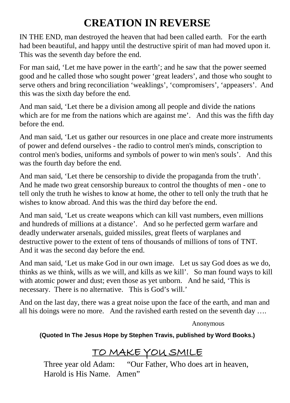### **CREATION IN REVERSE**

IN THE END, man destroyed the heaven that had been called earth. For the earth had been beautiful, and happy until the destructive spirit of man had moved upon it. This was the seventh day before the end.

For man said, 'Let me have power in the earth'; and he saw that the power seemed good and he called those who sought power 'great leaders', and those who sought to serve others and bring reconciliation 'weaklings', 'compromisers', 'appeasers'. And this was the sixth day before the end.

And man said, 'Let there be a division among all people and divide the nations which are for me from the nations which are against me'. And this was the fifth day before the end.

And man said, 'Let us gather our resources in one place and create more instruments of power and defend ourselves - the radio to control men's minds, conscription to control men's bodies, uniforms and symbols of power to win men's souls'. And this was the fourth day before the end.

And man said, 'Let there be censorship to divide the propaganda from the truth'. And he made two great censorship bureaux to control the thoughts of men - one to tell only the truth he wishes to know at home, the other to tell only the truth that he wishes to know abroad. And this was the third day before the end.

And man said, 'Let us create weapons which can kill vast numbers, even millions and hundreds of millions at a distance'. And so he perfected germ warfare and deadly underwater arsenals, guided missiles, great fleets of warplanes and destructive power to the extent of tens of thousands of millions of tons of TNT. And it was the second day before the end.

And man said, 'Let us make God in our own image. Let us say God does as we do, thinks as we think, wills as we will, and kills as we kill'. So man found ways to kill with atomic power and dust; even those as yet unborn. And he said, 'This is necessary. There is no alternative. This is God's will.'

And on the last day, there was a great noise upon the face of the earth, and man and all his doings were no more. And the ravished earth rested on the seventh day ….

Anonymous

### **(Quoted In The Jesus Hope by Stephen Travis, published by Word Books.)**

### TO MAKE YOU SMILE

Three year old Adam: "Our Father, Who does art in heaven, Harold is His Name. Amen"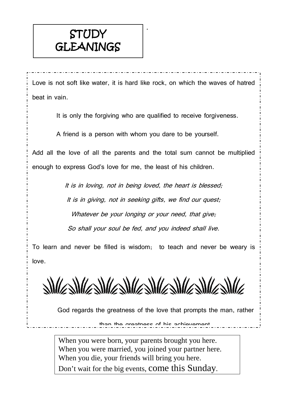### **STUDY GLEANINGS**

Love is not soft like water, it is hard like rock, on which the waves of hatred beat in vain.

.

It is only the forgiving who are qualified to receive forgiveness.

A friend is a person with whom you dare to be yourself.

Add all the love of all the parents and the total sum cannot be multiplied enough to express God's love for me, the least of his children.

> It is in loving, not in being loved, the heart is blessed; It is in giving, not in seeking gifts, we find our quest; Whatever be your longing or your need, that give; So shall your soul be fed, and you indeed shall live.

To learn and never be filled is wisdom; to teach and never be weary is love.

<u>SWASWASWASWASWASWASWASWASWA</u>

God regards the greatness of the love that prompts the man, rather

than the greatness of his achievement

When you were born, your parents brought you here. When you were married, you joined your partner here. When you die, your friends will bring you here. Don't wait for the big events, come this Sunday.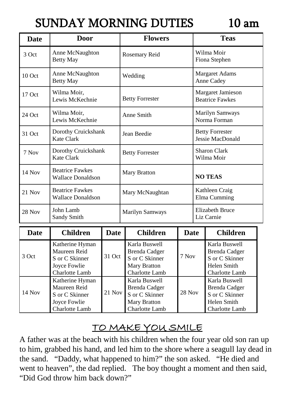## SUNDAY MORNING DUTIES 10 am

| <b>Date</b>   | <b>Door</b>                                                                                     |             | <b>Flowers</b>                                                                            |               |                                      | <b>Teas</b>                                                                              |  |  |
|---------------|-------------------------------------------------------------------------------------------------|-------------|-------------------------------------------------------------------------------------------|---------------|--------------------------------------|------------------------------------------------------------------------------------------|--|--|
| 3 Oct         | Anne McNaughton<br><b>Betty May</b>                                                             |             | Rosemary Reid                                                                             |               |                                      | Wilma Moir<br>Fiona Stephen                                                              |  |  |
| 10 Oct        | Anne McNaughton<br><b>Betty May</b>                                                             |             | Wedding                                                                                   |               |                                      | Margaret Adams<br>Anne Cadey                                                             |  |  |
| 17 Oct        | Wilma Moir,<br>Lewis McKechnie                                                                  |             | <b>Betty Forrester</b>                                                                    |               |                                      | Margaret Jamieson<br><b>Beatrice Fawkes</b>                                              |  |  |
| $24$ Oct      | Wilma Moir,<br>Lewis McKechnie                                                                  |             | Anne Smith                                                                                |               |                                      | Marilyn Samways<br>Norma Forman                                                          |  |  |
| 31 Oct        | Dorothy Cruickshank<br>Kate Clark                                                               |             | Jean Beedie                                                                               |               |                                      | <b>Betty Forrester</b><br>Jessie MacDonald                                               |  |  |
| 7 Nov         | Dorothy Cruickshank<br>Kate Clark                                                               |             | <b>Betty Forrester</b>                                                                    |               |                                      | <b>Sharon Clark</b><br>Wilma Moir                                                        |  |  |
| 14 Nov        | <b>Beatrice Fawkes</b><br><b>Wallace Donaldson</b>                                              |             | <b>Mary Bratton</b>                                                                       |               |                                      | <b>NO TEAS</b>                                                                           |  |  |
| $21$ Nov      | <b>Beatrice Fawkes</b><br><b>Wallace Donaldson</b>                                              |             | Mary McNaughtan                                                                           |               |                                      | Kathleen Craig<br>Elma Cumming                                                           |  |  |
| <b>28 Nov</b> | John Lamb<br>Sandy Smith                                                                        |             | Marilyn Samways                                                                           |               | <b>Elizabeth Bruce</b><br>Liz Carnie |                                                                                          |  |  |
| <b>Date</b>   | <b>Children</b>                                                                                 | <b>Date</b> | <b>Children</b>                                                                           |               | <b>Date</b>                          | <b>Children</b>                                                                          |  |  |
| 3 Oct         | Katherine Hyman<br>Maureen Reid<br>S or C Skinner<br>Joyce Fowlie<br>Charlotte Lamb             | 31 Oct      | Karla Buswell<br><b>Brenda Cadger</b><br>S or C Skinner<br>Mary Bratton<br>Charlotte Lamb | 7 Nov         |                                      | Karla Buswell<br><b>Brenda Cadger</b><br>S or C Skinner<br>Helen Smith<br>Charlotte Lamb |  |  |
| $14$ Nov      | Katherine Hyman<br>Maureen Reid<br>$21$ Nov<br>S or C Skinner<br>Joyce Fowlie<br>Charlotte Lamb |             | Karla Buswell<br><b>Brenda Cadger</b><br>S or C Skinner<br>Mary Bratton<br>Charlotte Lamb | <b>28 Nov</b> |                                      | Karla Buswell<br><b>Brenda Cadger</b><br>S or C Skinner<br>Helen Smith<br>Charlotte Lamb |  |  |

### TO MAKE YOU SMILE

A father was at the beach with his children when the four year old son ran up to him, grabbed his hand, and led him to the shore where a seagull lay dead in the sand. "Daddy, what happened to him?" the son asked. "He died and went to heaven", the dad replied. The boy thought a moment and then said, "Did God throw him back down?"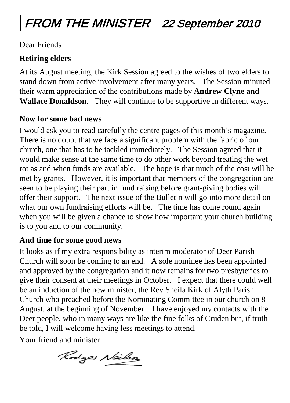## FROM THE MINISTER 22 September 2010

### Dear Friends

### **Retiring elders**

At its August meeting, the Kirk Session agreed to the wishes of two elders to stand down from active involvement after many years. The Session minuted their warm appreciation of the contributions made by **Andrew Clyne and Wallace Donaldson**. They will continue to be supportive in different ways.

### **Now for some bad news**

I would ask you to read carefully the centre pages of this month's magazine. There is no doubt that we face a significant problem with the fabric of our church, one that has to be tackled immediately. The Session agreed that it would make sense at the same time to do other work beyond treating the wet rot as and when funds are available. The hope is that much of the cost will be met by grants. However, it is important that members of the congregation are seen to be playing their part in fund raising before grant-giving bodies will offer their support. The next issue of the Bulletin will go into more detail on what our own fundraising efforts will be. The time has come round again when you will be given a chance to show how important your church building is to you and to our community.

### **And time for some good news**

It looks as if my extra responsibility as interim moderator of Deer Parish Church will soon be coming to an end. A sole nominee has been appointed and approved by the congregation and it now remains for two presbyteries to give their consent at their meetings in October. I expect that there could well be an induction of the new minister, the Rev Sheila Kirk of Alyth Parish Church who preached before the Nominating Committee in our church on 8 August, at the beginning of November. I have enjoyed my contacts with the Deer people, who in many ways are like the fine folks of Cruden but, if truth be told, I will welcome having less meetings to attend.

Your friend and minister

Rodges Neilso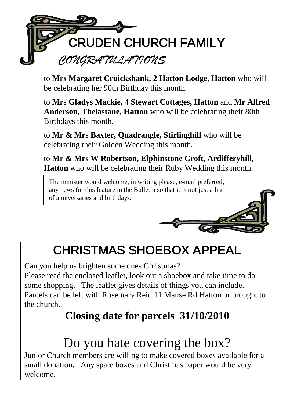

to **Mrs Margaret Cruickshank, 2 Hatton Lodge, Hatton** who will be celebrating her 90th Birthday this month.

to **Mrs Gladys Mackie, 4 Stewart Cottages, Hatton** and **Mr Alfred Anderson, Thelastane, Hatton** who will be celebrating their 80th Birthdays this month.

to **Mr & Mrs Baxter, Quadrangle, Stirlinghill** who will be celebrating their Golden Wedding this month.

to **Mr & Mrs W Robertson, Elphinstone Croft, Ardifferyhill, Hatton** who will be celebrating their Ruby Wedding this month.

The minister would welcome, in writing please, e-mail preferred, any news for this feature in the Bulletin so that it is not just a list of anniversaries and birthdays.



## CHRISTMAS SHOEBOX APPEAL

Can you help us brighten some ones Christmas?

Please read the enclosed leaflet, look out a shoebox and take time to do some shopping. The leaflet gives details of things you can include. Parcels can be left with Rosemary Reid 11 Manse Rd Hatton or brought to the church.

### **Closing date for parcels 31/10/2010**

## Do you hate covering the box?

Junior Church members are willing to make covered boxes available for a small donation. Any spare boxes and Christmas paper would be very welcome.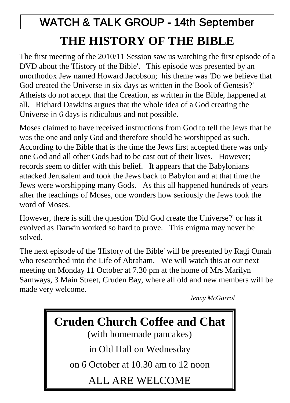## WATCH & TALK GROUP - 14th September **THE HISTORY OF THE BIBLE**

The first meeting of the 2010/11 Session saw us watching the first episode of a DVD about the 'History of the Bible'. This episode was presented by an unorthodox Jew named Howard Jacobson; his theme was 'Do we believe that God created the Universe in six days as written in the Book of Genesis?' Atheists do not accept that the Creation, as written in the Bible, happened at all. Richard Dawkins argues that the whole idea of a God creating the Universe in 6 days is ridiculous and not possible.

Moses claimed to have received instructions from God to tell the Jews that he was the one and only God and therefore should be worshipped as such. According to the Bible that is the time the Jews first accepted there was only one God and all other Gods had to be cast out of their lives. However; records seem to differ with this belief. It appears that the Babylonians attacked Jerusalem and took the Jews back to Babylon and at that time the Jews were worshipping many Gods. As this all happened hundreds of years after the teachings of Moses, one wonders how seriously the Jews took the word of Moses.

However, there is still the question 'Did God create the Universe?' or has it evolved as Darwin worked so hard to prove. This enigma may never be solved.

The next episode of the 'History of the Bible' will be presented by Ragi Omah who researched into the Life of Abraham. We will watch this at our next meeting on Monday 11 October at 7.30 pm at the home of Mrs Marilyn Samways, 3 Main Street, Cruden Bay, where all old and new members will be made very welcome.

*Jenny McGarrol*

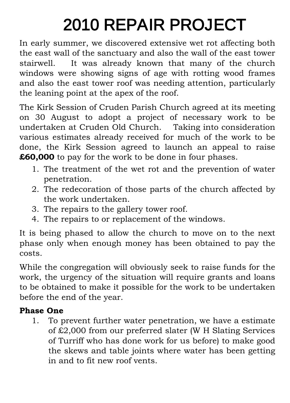# 2010 REPAIR PROJECT

In early summer, we discovered extensive wet rot affecting both the east wall of the sanctuary and also the wall of the east tower stairwell. It was already known that many of the church windows were showing signs of age with rotting wood frames and also the east tower roof was needing attention, particularly the leaning point at the apex of the roof.

The Kirk Session of Cruden Parish Church agreed at its meeting on 30 August to adopt a project of necessary work to be undertaken at Cruden Old Church. Taking into consideration various estimates already received for much of the work to be done, the Kirk Session agreed to launch an appeal to raise **£60,000** to pay for the work to be done in four phases.

- 1. The treatment of the wet rot and the prevention of water penetration.
- 2. The redecoration of those parts of the church affected by the work undertaken.
- 3. The repairs to the gallery tower roof.
- 4. The repairs to or replacement of the windows.

It is being phased to allow the church to move on to the next phase only when enough money has been obtained to pay the costs.

While the congregation will obviously seek to raise funds for the work, the urgency of the situation will require grants and loans to be obtained to make it possible for the work to be undertaken before the end of the year.

### **Phase One**

1. To prevent further water penetration, we have a estimate of £2,000 from our preferred slater (W H Slating Services of Turriff who has done work for us before) to make good the skews and table joints where water has been getting in and to fit new roof vents.